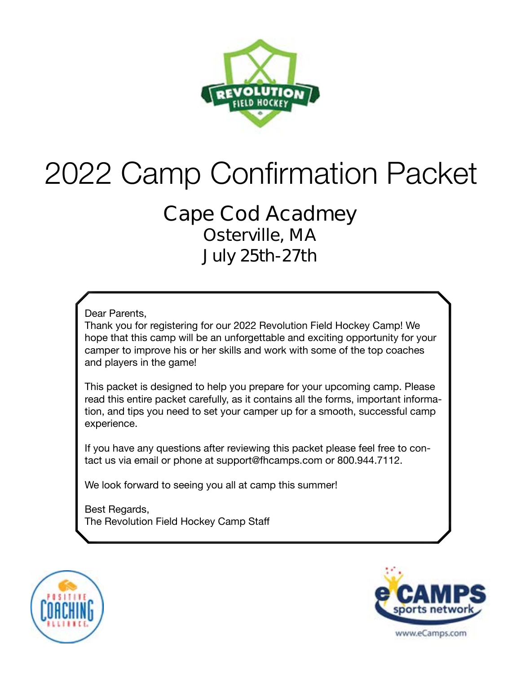

# 2022 Camp Confirmation Packet

### **Cape Cod Acadmey Osterville, MA July 25th-27th**

Dear Parents,

Thank you for registering for our 2022 Revolution Field Hockey Camp! We hope that this camp will be an unforgettable and exciting opportunity for your camper to improve his or her skills and work with some of the top coaches and players in the game!

This packet is designed to help you prepare for your upcoming camp. Please read this entire packet carefully, as it contains all the forms, important information, and tips you need to set your camper up for a smooth, successful camp experience.

If you have any questions after reviewing this packet please feel free to contact us via email or phone at support@fhcamps.com or 800.944.7112.

We look forward to seeing you all at camp this summer!

Best Regards, The Revolution Field Hockey Camp Staff



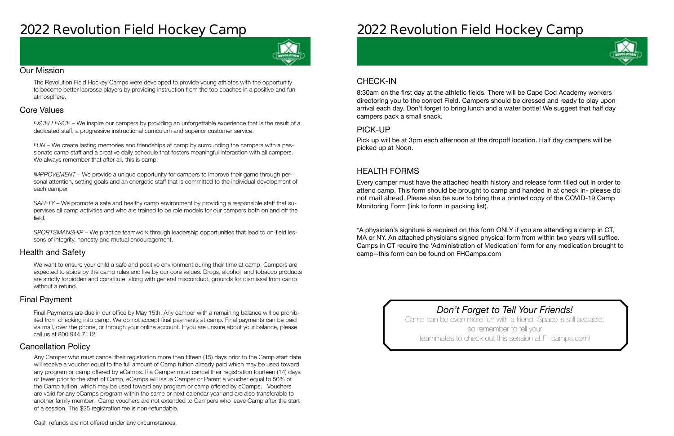# **2022 Revolution Field Hockey Camp**



#### Our Mission

The Revolution Field Hockey Camps were developed to provide young athletes with the opportunity to become better lacrosse players by providing instruction from the top coaches in a positive and fun atmosphere.

#### Health and Safety

We want to ensure your child a safe and positive environment during their time at camp. Campers are expected to abide by the camp rules and live by our core values. Drugs, alcohol and tobacco products are strictly forbidden and constitute, along with general misconduct, grounds for dismissal from camp without a refund.

#### Cancellation Policy

#### Final Payment

#### Core Values

*EXCELLENCE* – We inspire our campers by providing an unforgettable experience that is the result of a dedicated staff, a progressive instructional curriculum and superior customer service.

*FUN* – We create lasting memories and friendships at camp by surrounding the campers with a passionate camp staff and a creative daily schedule that fosters meaningful interaction with all campers. We always remember that after all, this is camp!

*IMPROVEMENT* – We provide a unique opportunity for campers to improve their game through personal attention, setting goals and an energetic staff that is committed to the individual development of each camper.

*SAFETY* – We promote a safe and healthy camp environment by providing a responsible staff that supervises all camp activities and who are trained to be role models for our campers both on and off the field.

*SPORTSMANSHIP* – We practice teamwork through leadership opportunities that lead to on-field lessons of integrity, honesty and mutual encouragement.

Final Payments are due in our office by May 15th. Any camper with a remaining balance will be prohibited from checking into camp. We do not accept final payments at camp. Final payments can be paid via mail, over the phone, or through your online account. If you are unsure about your balance, please call us at 800.944.7112

Any Camper who must cancel their registration more than fifteen (15) days prior to the Camp start date will receive a voucher equal to the full amount of Camp tuition already paid which may be used toward any program or camp offered by eCamps. If a Camper must cancel their registration fourteen (14) days or fewer prior to the start of Camp, eCamps will issue Camper or Parent a voucher equal to 50% of the Camp tuition, which may be used toward any program or camp offered by eCamps. Vouchers are valid for any eCamps program within the same or next calendar year and are also transferable to another family member. Camp vouchers are not extended to Campers who leave Camp after the start of a session. The \$25 registration fee is non-refundable.



# **2022 Revolution Field Hockey Camp**

### CHECK-IN

#### PICK-UP

#### HEALTH FORMS

8:30am on the first day at the athletic fields. There will be Cape Cod Academy workers directoring you to the correct Field. Campers should be dressed and ready to play upon arrival each day. Don't forget to bring lunch and a water bottle! We suggest that half day campers pack a small snack.

Pick up will be at 3pm each afternoon at the dropoff location. Half day campers will be picked up at Noon.

Every camper must have the attached health history and release form filled out in order to attend camp. This form should be brought to camp and handed in at check in- **please do not mail ahead**. Please also be sure to bring the a printed copy of the COVID-19 Camp Monitoring Form (link to form in packing list).

\*A physician's signiture is required on this form ONLY if you are attending a camp in CT, MA or NY. An attached physicians signed physical form from within two years will suffice. Camps in CT require the 'Administration of Medication' form for any medication brought to camp--this form can be found on FHCamps.com

> *Don't Forget to Tell Your Friends!* Camp can be even more fun with a friend. Space is still available, so remember to tell your teammates to check out this session at FHcamps.com!